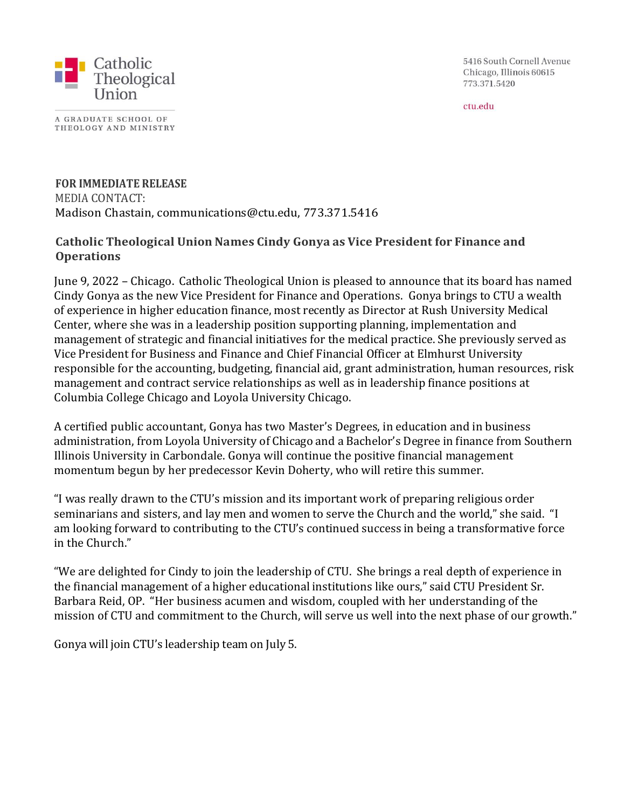

A GRADUATE SCHOOL OF THEOLOGY AND MINISTRY 5416 South Cornell Avenue Chicago, Illinois 60615 773.371.5420

ctu.edu

## **FOR IMMEDIATE RELEASE** MEDIA CONTACT: Madison Chastain, [communications@ctu.edu,](mailto:communications@ctu.edu) 773.371.5416

## **Catholic Theological Union Names Cindy Gonya as Vice President for Finance and Operations**

June 9, 2022 – Chicago. Catholic Theological Union is pleased to announce that its board has named Cindy Gonya as the new Vice President for Finance and Operations. Gonya brings to CTU a wealth of experience in higher education finance, most recently as Director at Rush University Medical Center, where she was in a leadership position supporting planning, implementation and management of strategic and financial initiatives for the medical practice. She previously served as Vice President for Business and Finance and Chief Financial Officer at Elmhurst University responsible for the accounting, budgeting, financial aid, grant administration, human resources, risk management and contract service relationships as well as in leadership finance positions at Columbia College Chicago and Loyola University Chicago.

A certified public accountant, Gonya has two Master's Degrees, in education and in business administration, from Loyola University of Chicago and a Bachelor's Degree in finance from Southern Illinois University in Carbondale. Gonya will continue the positive financial management momentum begun by her predecessor Kevin Doherty, who will retire this summer.

"I was really drawn to the CTU's mission and its important work of preparing religious order seminarians and sisters, and lay men and women to serve the Church and the world," she said. "I am looking forward to contributing to the CTU's continued success in being a transformative force in the Church."

"We are delighted for Cindy to join the leadership of CTU. She brings a real depth of experience in the financial management of a higher educational institutions like ours," said CTU President Sr. Barbara Reid, OP. "Her business acumen and wisdom, coupled with her understanding of the mission of CTU and commitment to the Church, will serve us well into the next phase of our growth."

Gonya will join CTU's leadership team on July 5.